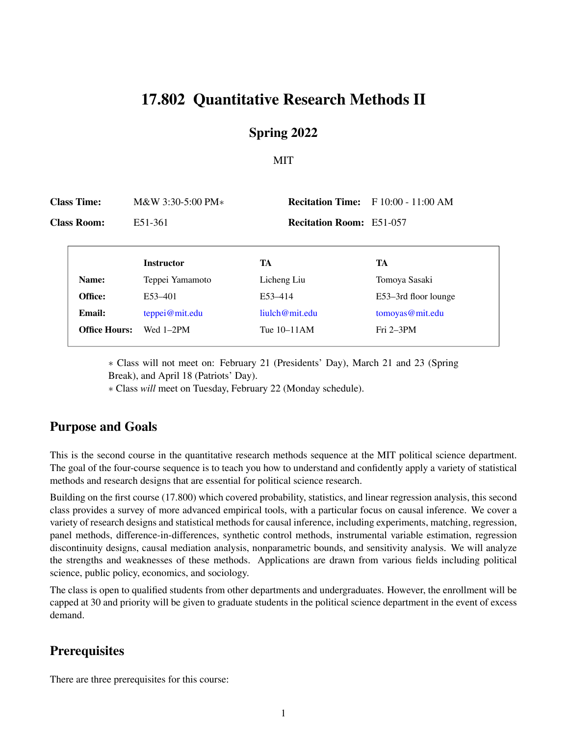# 17.802 Quantitative Research Methods II

### Spring 2022

### MIT

| <b>Class Time:</b> |                      | $M&W3:30-5:00 PM*$ |                                 | <b>Recitation Time:</b> F 10:00 - 11:00 AM |
|--------------------|----------------------|--------------------|---------------------------------|--------------------------------------------|
|                    | <b>Class Room:</b>   | E51-361            | <b>Recitation Room: E51-057</b> |                                            |
|                    |                      | <b>Instructor</b>  | TA                              | TA                                         |
|                    | Name:                | Teppei Yamamoto    | Licheng Liu                     | Tomoya Sasaki                              |
|                    | Office:              | E53-401            | E53-414                         | E53–3rd floor lounge                       |
|                    | <b>Email:</b>        | teppei@mit.edu     | liulch@mit.edu                  | tomoyas@mit.edu                            |
|                    | <b>Office Hours:</b> | Wed $1-2PM$        | Tue 10–11AM                     | $Fri 2-3PM$                                |

∗ Class will not meet on: February 21 (Presidents' Day), March 21 and 23 (Spring Break), and April 18 (Patriots' Day).

∗ Class *will* meet on Tuesday, February 22 (Monday schedule).

## Purpose and Goals

This is the second course in the quantitative research methods sequence at the MIT political science department. The goal of the four-course sequence is to teach you how to understand and confidently apply a variety of statistical methods and research designs that are essential for political science research.

Building on the first course (17.800) which covered probability, statistics, and linear regression analysis, this second class provides a survey of more advanced empirical tools, with a particular focus on causal inference. We cover a variety of research designs and statistical methods for causal inference, including experiments, matching, regression, panel methods, difference-in-differences, synthetic control methods, instrumental variable estimation, regression discontinuity designs, causal mediation analysis, nonparametric bounds, and sensitivity analysis. We will analyze the strengths and weaknesses of these methods. Applications are drawn from various fields including political science, public policy, economics, and sociology.

The class is open to qualified students from other departments and undergraduates. However, the enrollment will be capped at 30 and priority will be given to graduate students in the political science department in the event of excess demand.

## **Prerequisites**

There are three prerequisites for this course: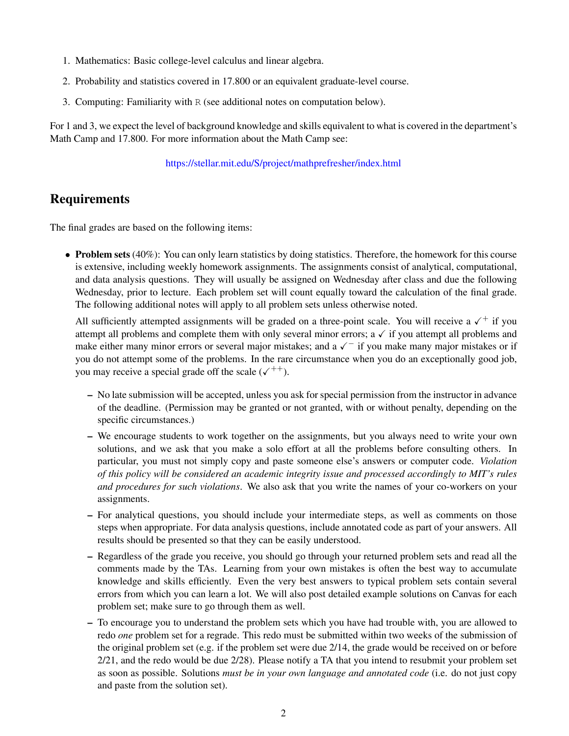- 1. Mathematics: Basic college-level calculus and linear algebra.
- 2. Probability and statistics covered in 17.800 or an equivalent graduate-level course.
- 3. Computing: Familiarity with R (see additional notes on computation below).

For 1 and 3, we expect the level of background knowledge and skills equivalent to what is covered in the department's Math Camp and 17.800. For more information about the Math Camp see:

#### <https://stellar.mit.edu/S/project/mathprefresher/index.html>

## Requirements

The final grades are based on the following items:

• Problem sets (40%): You can only learn statistics by doing statistics. Therefore, the homework for this course is extensive, including weekly homework assignments. The assignments consist of analytical, computational, and data analysis questions. They will usually be assigned on Wednesday after class and due the following Wednesday, prior to lecture. Each problem set will count equally toward the calculation of the final grade. The following additional notes will apply to all problem sets unless otherwise noted.

All sufficiently attempted assignments will be graded on a three-point scale. You will receive a  $\checkmark$  + if you attempt all problems and complete them with only several minor errors;  $a \checkmark$  if you attempt all problems and make either many minor errors or several major mistakes; and a  $\checkmark$  if you make many major mistakes or if you do not attempt some of the problems. In the rare circumstance when you do an exceptionally good job, you may receive a special grade off the scale  $(\sqrt{++})$ .

- No late submission will be accepted, unless you ask for special permission from the instructor in advance of the deadline. (Permission may be granted or not granted, with or without penalty, depending on the specific circumstances.)
- We encourage students to work together on the assignments, but you always need to write your own solutions, and we ask that you make a solo effort at all the problems before consulting others. In particular, you must not simply copy and paste someone else's answers or computer code. *Violation of this policy will be considered an academic integrity issue and processed accordingly to MIT's rules and procedures for such violations*. We also ask that you write the names of your co-workers on your assignments.
- For analytical questions, you should include your intermediate steps, as well as comments on those steps when appropriate. For data analysis questions, include annotated code as part of your answers. All results should be presented so that they can be easily understood.
- Regardless of the grade you receive, you should go through your returned problem sets and read all the comments made by the TAs. Learning from your own mistakes is often the best way to accumulate knowledge and skills efficiently. Even the very best answers to typical problem sets contain several errors from which you can learn a lot. We will also post detailed example solutions on Canvas for each problem set; make sure to go through them as well.
- To encourage you to understand the problem sets which you have had trouble with, you are allowed to redo *one* problem set for a regrade. This redo must be submitted within two weeks of the submission of the original problem set (e.g. if the problem set were due 2/14, the grade would be received on or before 2/21, and the redo would be due 2/28). Please notify a TA that you intend to resubmit your problem set as soon as possible. Solutions *must be in your own language and annotated code* (i.e. do not just copy and paste from the solution set).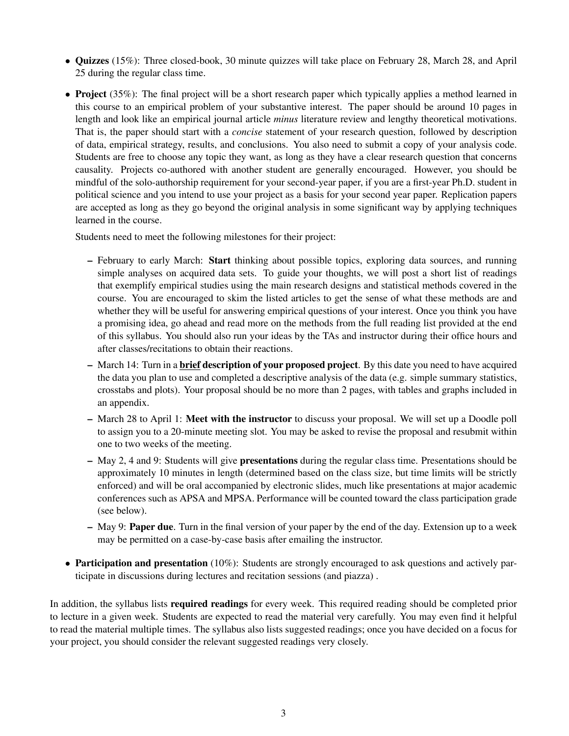- *•* Quizzes (15%): Three closed-book, 30 minute quizzes will take place on February 28, March 28, and April 25 during the regular class time.
- **Project** (35%): The final project will be a short research paper which typically applies a method learned in this course to an empirical problem of your substantive interest. The paper should be around 10 pages in length and look like an empirical journal article *minus* literature review and lengthy theoretical motivations. That is, the paper should start with a *concise* statement of your research question, followed by description of data, empirical strategy, results, and conclusions. You also need to submit a copy of your analysis code. Students are free to choose any topic they want, as long as they have a clear research question that concerns causality. Projects co-authored with another student are generally encouraged. However, you should be mindful of the solo-authorship requirement for your second-year paper, if you are a first-year Ph.D. student in political science and you intend to use your project as a basis for your second year paper. Replication papers are accepted as long as they go beyond the original analysis in some significant way by applying techniques learned in the course.

Students need to meet the following milestones for their project:

- February to early March: Start thinking about possible topics, exploring data sources, and running simple analyses on acquired data sets. To guide your thoughts, we will post a short list of readings that exemplify empirical studies using the main research designs and statistical methods covered in the course. You are encouraged to skim the listed articles to get the sense of what these methods are and whether they will be useful for answering empirical questions of your interest. Once you think you have a promising idea, go ahead and read more on the methods from the full reading list provided at the end of this syllabus. You should also run your ideas by the TAs and instructor during their office hours and after classes/recitations to obtain their reactions.
- March 14: Turn in a **brief description of your proposed project**. By this date you need to have acquired the data you plan to use and completed a descriptive analysis of the data (e.g. simple summary statistics, crosstabs and plots). Your proposal should be no more than 2 pages, with tables and graphs included in an appendix.
- March 28 to April 1: Meet with the instructor to discuss your proposal. We will set up a Doodle poll to assign you to a 20-minute meeting slot. You may be asked to revise the proposal and resubmit within one to two weeks of the meeting.
- May 2, 4 and 9: Students will give presentations during the regular class time. Presentations should be approximately 10 minutes in length (determined based on the class size, but time limits will be strictly enforced) and will be oral accompanied by electronic slides, much like presentations at major academic conferences such as APSA and MPSA. Performance will be counted toward the class participation grade (see below).
- $-$  May 9: **Paper due**. Turn in the final version of your paper by the end of the day. Extension up to a week may be permitted on a case-by-case basis after emailing the instructor.
- Participation and presentation (10%): Students are strongly encouraged to ask questions and actively participate in discussions during lectures and recitation sessions (and piazza) .

In addition, the syllabus lists **required readings** for every week. This required reading should be completed prior to lecture in a given week. Students are expected to read the material very carefully. You may even find it helpful to read the material multiple times. The syllabus also lists suggested readings; once you have decided on a focus for your project, you should consider the relevant suggested readings very closely.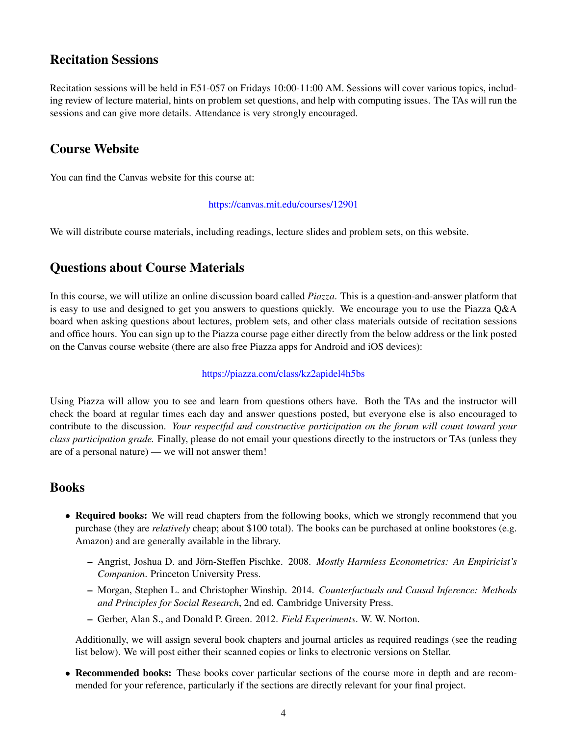## Recitation Sessions

Recitation sessions will be held in E51-057 on Fridays 10:00-11:00 AM. Sessions will cover various topics, including review of lecture material, hints on problem set questions, and help with computing issues. The TAs will run the sessions and can give more details. Attendance is very strongly encouraged.

## Course Website

You can find the Canvas website for this course at:

<https://canvas.mit.edu/courses/12901>

We will distribute course materials, including readings, lecture slides and problem sets, on this website.

### Questions about Course Materials

In this course, we will utilize an online discussion board called *Piazza*. This is a question-and-answer platform that is easy to use and designed to get you answers to questions quickly. We encourage you to use the Piazza Q&A board when asking questions about lectures, problem sets, and other class materials outside of recitation sessions and office hours. You can sign up to the Piazza course page either directly from the below address or the link posted on the Canvas course website (there are also free Piazza apps for Android and iOS devices):

#### <https://piazza.com/class/kz2apidel4h5bs>

Using Piazza will allow you to see and learn from questions others have. Both the TAs and the instructor will check the board at regular times each day and answer questions posted, but everyone else is also encouraged to contribute to the discussion. *Your respectful and constructive participation on the forum will count toward your class participation grade.* Finally, please do not email your questions directly to the instructors or TAs (unless they are of a personal nature) — we will not answer them!

### Books

- Required books: We will read chapters from the following books, which we strongly recommend that you purchase (they are *relatively* cheap; about \$100 total). The books can be purchased at online bookstores (e.g. Amazon) and are generally available in the library.
	- Angrist, Joshua D. and Jo¨rn-Steffen Pischke. 2008. *Mostly Harmless Econometrics: An Empiricist's Companion*. Princeton University Press.
	- Morgan, Stephen L. and Christopher Winship. 2014. *Counterfactuals and Causal Inference: Methods and Principles for Social Research*, 2nd ed. Cambridge University Press.
	- Gerber, Alan S., and Donald P. Green. 2012. *Field Experiments*. W. W. Norton.

Additionally, we will assign several book chapters and journal articles as required readings (see the reading list below). We will post either their scanned copies or links to electronic versions on Stellar.

• Recommended books: These books cover particular sections of the course more in depth and are recommended for your reference, particularly if the sections are directly relevant for your final project.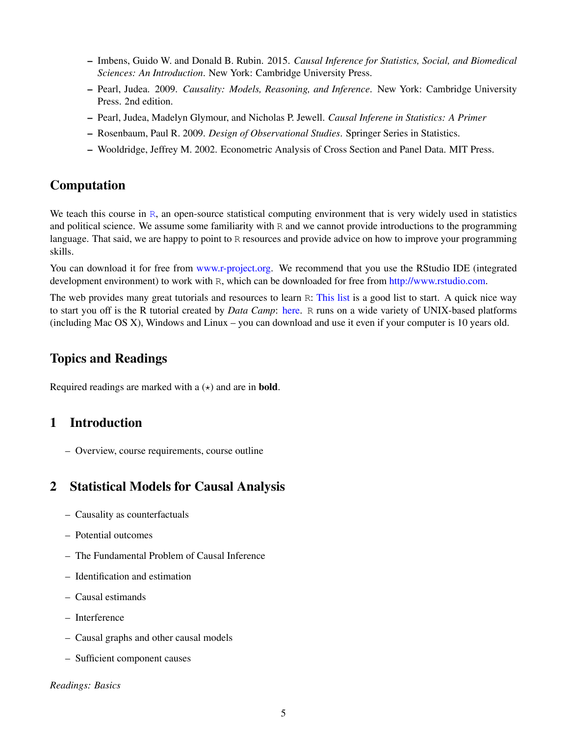- Imbens, Guido W. and Donald B. Rubin. 2015. *Causal Inference for Statistics, Social, and Biomedical Sciences: An Introduction*. New York: Cambridge University Press.
- Pearl, Judea. 2009. *Causality: Models, Reasoning, and Inference*. New York: Cambridge University Press. 2nd edition.
- Pearl, Judea, Madelyn Glymour, and Nicholas P. Jewell. *Causal Inferene in Statistics: A Primer*
- Rosenbaum, Paul R. 2009. *Design of Observational Studies*. Springer Series in Statistics.
- Wooldridge, Jeffrey M. 2002. Econometric Analysis of Cross Section and Panel Data. MIT Press.

## Computation

We teach this course in  $\mathbb{R}$ , an open-source st[atis](http://www.r-project.org/)tical computing environment that is very widely used in statistics and political science. We assume some familiarity with R and we cannot provide introductions to the programming language. That said, we are happy to point to R resources and provide advice on how to improve your programming skills.

You can download it for free from www.r-project.org. We recommend that you use the [RStudio](http://www.r-project.org/) IDE (integrated development environment) to work with R, which can be downloaded for free from http://www.rstudio.com.

The web provides many great tutorials and resources to learn R: This list is a good list to start. A quick nice way to start you off is the R tutorial created by *Data Camp*: here. R runs on a wide variety of UNIX-based [platform](https://www.datacamp.com/courses/free-introduction-to-r)s (including Mac OS X), Windows and Linux – you can download and use it even if your computer is 10 years old.

### Topics and Readings

Required readings are marked with a  $(\star)$  and are in **bold**.

## 1 Introduction

– Overview, course requirements, course outline

## 2 Statistical Models for Causal Analysis

- Causality as counterfactuals
- Potential outcomes
- The Fundamental Problem of Causal Inference
- Identification and estimation
- Causal estimands
- Interference
- Causal graphs and other causal models
- Sufficient component causes

*Readings: Basics*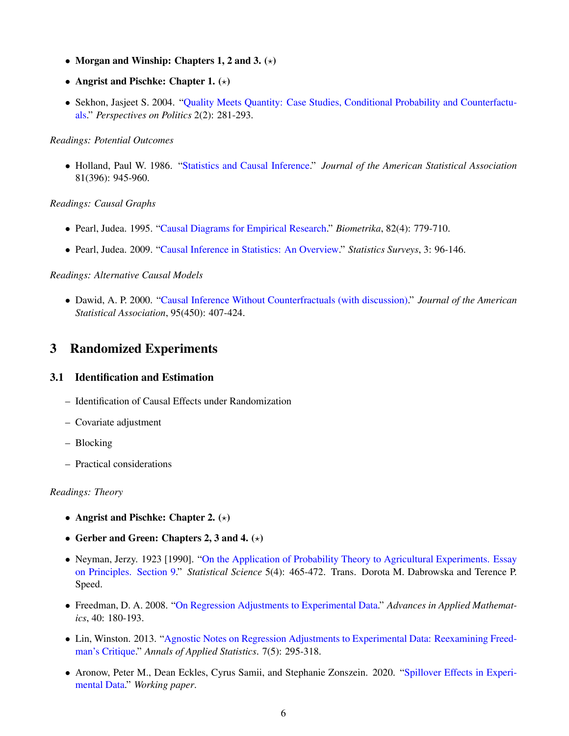- Morgan and Winship: Chapters 1, 2 and 3.  $(\star)$
- Angrist and Pischke: Chapter 1.  $(\star)$
- *•* Sekhon, Jasjeet S. 2004. ["Quality](http://journals.cambridge.org/abstract_S1537592704040150) Meets Quantity: Case Studies, Conditional Probability and Counterfactuals." *Perspectives on Politics* 2(2): 281-293.

#### *Readings: Potential Outcomes*

*•* Holland, Paul W. 1986. "Statistics and Causal Inference." *Journal of the American Statistical [Association](http://www.jstor.org/stable/2289064)* 81(396): 945-960.

#### *Readings: Causal Graphs*

- *•* Pearl, Judea. 1995. "Causal Diagrams for Empirical Research." *[Biometrika](http://www.jstor.org/stable/2337329)*, 82(4): 779-710.
- *•* Pearl, Judea. 2009. "Causal Inference in Statistics: An [Overview."](http://projecteuclid.org/euclid.ssu/1255440554) *Statistics Surveys*, 3: 96-146.

### *Readings: Alternative Causal Models*

*•* Dawid, A. P. 2000. "Causal Inference Without [Counterfractuals](http://www.jstor.org/stable/2669377) (with discussion)." *Journal of the American Statistical Association*, 95(450): 407-424.

## 3 Randomized Experiments

### 3.1 Identification and Estimation

- Identification of Causal Effects under Randomization
- Covariate adjustment
- Blocking
- Practical considerations

#### *Readings: Theory*

- Angrist and Pischke: Chapter 2.  $(\star)$
- Gerber and Green: Chapters 2, 3 and 4.  $(\star)$
- Neyman, Jerzy. 1923 [1990]. "On the Application of [Prob](http://www.jstor.org.libproxy.mit.edu/stable/2245382?seq=1)ability Theory to Agricultural Experiments. Essay on Principles. Section 9." *Statistical Science* 5(4): 465-472. Trans. Dorota M. Dabrowska and Terence P. Speed.
- *•* Freedman, D. A. 2008. "On Regression Adjustments to [Experimental](http://www.sciencedirect.com/science/article/pii/S019688580700005X) Data." *Advances in Applied Mathematics*, 40: 180-193.
- *•* Lin, Winston. 2013. "Agnostic [Notes](http://arxiv.org/pdf/1208.2301.pdf) on Regression Adjustments to Experimental Data: Reexamining Freedman's Critique." *Annals of Applied Statistics*. 7(5): 295-318.
- Aronow, Peter M., Dean Eckles, Cyrus Samii, and Stephanie Zonszein. 2020. ["Spillover](https://arxiv.org/abs/2001.05444) Effects in Experimental Data." *Working paper*.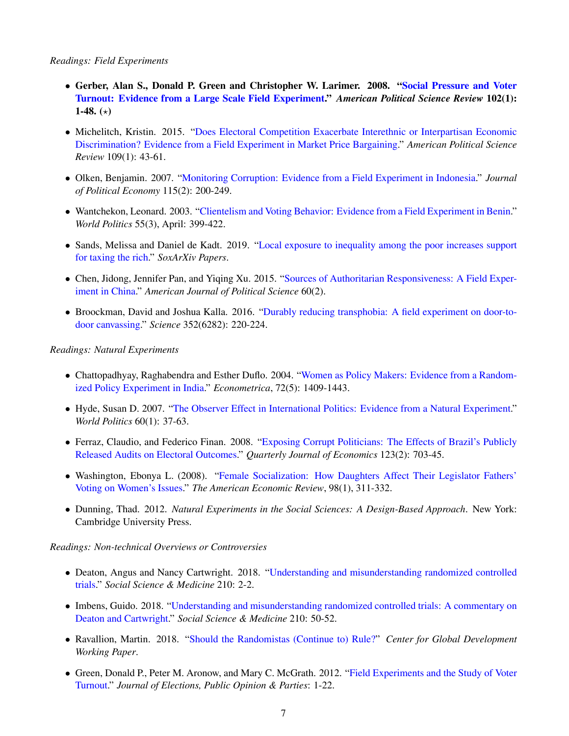#### *Readings: Field Experiments*

- *•* Gerber, Alan S., Donald P. Green and Christopher W. Larimer. 2008. "Social Pressure and Voter Turnout: Evidence from a Large Scale Field Experiment." *American Political Science Review* 102(1): 1-48.  $(*)$
- Michelitch, Kristin. 2015. "Does Electoral Competition Exacerbate Interethnic or [Interpartisan](https://doi.org/10.1017/S0003055414000628) Economic Discrimination? Evidence from a Field Experiment in Market Price Bargaining." *American Political Science Review* 109(1): 43-61.
- *•* Olken, Benjamin. 2007. "Monitoring Corruption: Evidence from a Field [Experiment](http://www.journals.uchicago.edu/doi/abs/10.1086/517935) in Indonesia." *Journal of Political Economy* 115(2): 200-249.
- Wantchekon, Leonard. 2003. "Clientelism and Voting Behavior: Evidence from a Field [Experiment](http://www.jstor.org/stable/25054228) in Benin." *World Politics* 55(3), April: 399-422.
- *•* Sands, Melissa and Daniel de Kadt. 2019. "Local exposure to [inequality](https://osf.io/preprints/socarxiv/9ktg2/) among the poor increases support for taxing the rich." *SoxArXiv Papers*.
- *•* Chen, Jidong, Jennifer Pan, and Yiqing Xu. 2015. "Sources of Authoritarian [Responsiveness:](https://onlinelibrary.wiley.com/doi/full/10.1111/ajps.12207) A Field Experiment in China." *American Journal of Political Science* 60(2).
- Broockman, David and Joshua Kalla. 2016. "Durably reducing [transphobia:](https://science.sciencemag.org/content/352/6282/220) A field experiment on door-todoor canvassing." *Science* 352(6282): 220-224.

#### *Readings: Natural Experiments*

- Chattopadhyay, Raghabendra and Esther Duflo. 2004. "Women as Policy Makers: [Evidence](http://www.jstor.org/stable/3598894) from a Randomized Policy Experiment in India." *Econometrica*, 72(5): 1409-1443.
- *•* Hyde, Susan D. 2007. "The Observer Effect in International Politics: Evidence from a Natural [Experiment."](http://muse.jhu.edu/journals/world_politics/v060/60.1.hyde.html) *World Politics* 60(1): 37-63.
- Ferraz, Claudio, and Federico Finan. 2008. "Exposing Corrupt Politicians: The [Effec](https://www.jstor.org/stable/25098913)ts of Brazil's Publicly Released Audits on Electoral Outcomes." *Quarterly Journal of Economics* 123(2): 703-45.
- *•* Washington, Ebonya L. (2008). "Female Sociali[zation:](http://www.jstor.org.libproxy.mit.edu/stable/29729973) How Daughters Affect Their Legislator Fathers' Voting on Women's Issues." *The American Economic Review*, 98(1), 311-332.
- *•* Dunning, Thad. 2012. *Natural Experiments in the Social Sciences: A Design-Based Approach*. New York: Cambridge University Press.

#### *Readings: Non-technical Overviews or Controversies*

- *•* Deaton, Angus and Nancy Cartwright. 2018. "Understanding and [misunderstanding](https://www.sciencedirect.com/science/article/pii/S0277953617307359) randomized controlled trials." *Social Science & Medicine* 210: 2-2.
- I[m](https://www.sciencedirect.com/science/article/abs/pii/S0277953618301953)bens, Guido. 2018. "Understanding and misunderstanding randomized controlled trials: A commentary on Deaton and Cartwright." *Social Science & Medicine* 210: 50-52.
- *•* Ravallion, Martin. 2018. "Should the Randomistas (Continue to) Rule?" *Center for Global [Development](https://www.cgdev.org/sites/default/files/should-randomistas-continue-rule-revised-jan-2019.pdf) Working Paper*.
- Green, Donald P., Peter M. Aronow, and Mary C. McGrath. 2012. "Field [Experiments](http://www.tandfonline.com/doi/abs/10.1080/17457289.2012.728223) and the Study of Voter Turnout." *Journal of Elections, Public Opinion & Parties*: 1-22.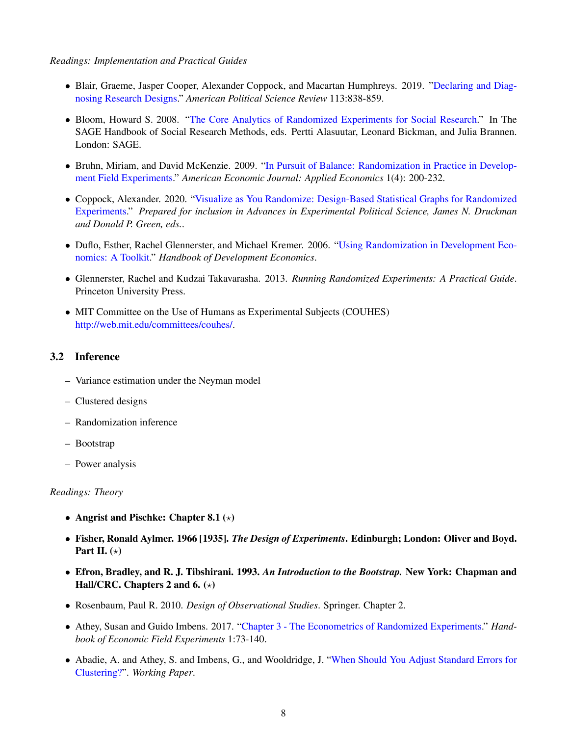*Readings: Implementation and Practical Guides*

- Blair, Graeme, Jasper Cooper, Alexander Coppock, and Macartan [Humphreys.](https://www.cambridge.org/core/journals/american-political-science-review/article/declaring-and-diagnosing-research-designs/3CB0C0BB0810AEF8FF65446B3E2E4926) 2019. "Declaring and Diagnosing Research Designs." *American Political Science Review* 113:838-859.
- Bloom, Howard S. 2008. "The Core Analytics of Randomized [Experiments](https://sk-sagepub-com.libproxy.mit.edu/reference/the-sage-handbook-of-social-research-methods/n9.xml) for Social Research." In The SAGE Handbook of Social Research Methods, eds. Pertti Alasuutar, Leonard Bickman, and Julia Brannen. London: SAGE.
- Bruhn, Miriam, and David McKenzie. 2009. "In Pursuit of Balance: [Randomization](https://www-jstor-org.libproxy.mit.edu/stable/25760187) in Practice in Development Field Experiments." *American Economic Journal: Applied Economics* 1(4): 200-232.
- *•* Coppock, Alexander. 2020. ["Visualize](https://alexandercoppock.com/coppock_2020.pdf) as You Randomize: Design-Based Statistical Graphs for Randomized Experiments." *Prepared for inclusion in Advances in Experimental Political Science, James N. Druckman and Donald P. Green, eds.*.
- Duflo, Esther, Rachel Glennerster, and Michael Kremer. 2006. "Using [Randomization](http://papers.ssrn.com/sol3/papers.cfm?abstract_id=951841) in Development Economics: A Toolkit." *Handbook of Development Economics*.
- *•* Glennerster, Rachel and Kudzai Takavarasha. 2013. *Running Randomized Experiments: A Practical Guide*. Princeton University Press.
- MIT Committee on the Use of Humans as Experimental Subjects (COUHES) [http://web.mit.edu/committees/couhes/.](http://web.mit.edu/committees/couhes/)

### 3.2 Inference

- Variance estimation under the Neyman model
- Clustered designs
- Randomization inference
- Bootstrap
- Power analysis

#### *Readings: Theory*

- Angrist and Pischke: Chapter 8.1  $(\star)$
- *•* Fisher, Ronald Aylmer. 1966 [1935]. *The Design of Experiments*. Edinburgh; London: Oliver and Boyd. Part II.  $(\star)$
- *•* Efron, Bradley, and R. J. Tibshirani. 1993. *An Introduction to the Bootstrap.* New York: Chapman and Hall/CRC. Chapters 2 and 6.  $(\star)$
- *•* Rosenbaum, Paul R. 2010. *Design of Observational Studies*. Springer. Chapter 2.
- Athey, Susan and Guido Imbens. 2017. "Chapter 3 The Econometrics of Randomized [Experiments."](https://www.sciencedirect.com/science/article/pii/S2214658X16300174#!) *Handbook of Economic Field Experiments* 1:73-140.
- Abadie, A. and Athey, S. and Imbens, G., and [Wooldridge,](https://arxiv.org/abs/1710.02926) J. "When Should You Adjust Standard Errors for Clustering?". *Working Paper*.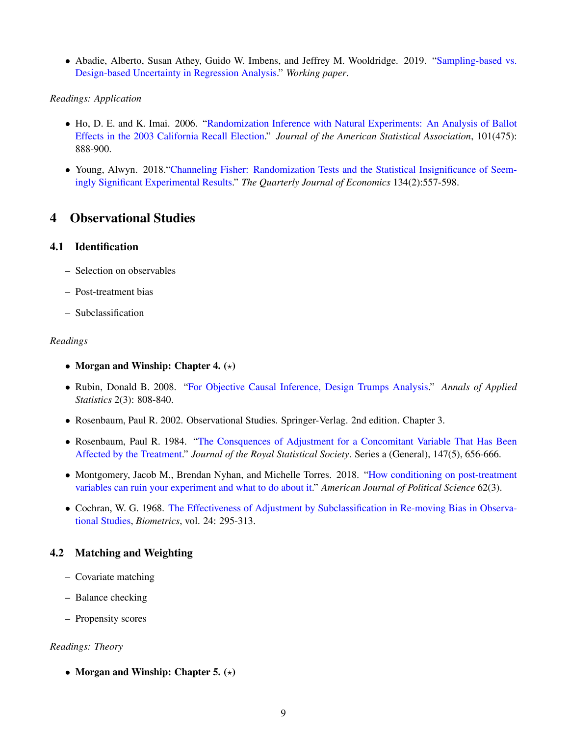*•* Abadie, Alberto, Susan Athey, Guido W. Imbens, and Jeffrey M. Wooldridge. 2019. "Sampli[ng-based](https://arxiv.org/pdf/1706.01778.pdf) vs. Design-based Uncertainty in Regression Analysis." *Working paper*.

#### *Readings: Application*

- Ho, D. E. and K. Imai. 2006. "Randomization Inference with Natural [Experiments:](http://imai.princeton.edu/research/files/fisher.pdf) An Analysis of Ballot Effects in the 2003 California Recall Election." *Journal of the American Statistical Association*, 101(475): 888-900.
- Young, Alwyn. 2018. "Channeling Fisher: [Randomization](https://academic.oup.com/qje/article/134/2/557/5195544) Tests and the Statistical Insignificance of Seemingly Significant Experimental Results." *The Quarterly Journal of Economics* 134(2):557-598.

## 4 Observational Studies

### 4.1 Identification

- Selection on observables
- Post-treatment bias
- Subclassification

#### *Readings*

- Morgan and Winship: Chapter 4.  $(\star)$
- *•* Rubin, Donald B. 2008. "For Objective Causal Inference, Design Trumps [Analysis."](http://www.jstor.org.libproxy.mit.edu/stable/30245110?seq=1#page_scan_tab_contents) *Annals of Applied Statistics* 2(3): 808-840.
- *•* Rosenbaum, Paul R. 2002. Observational Studies. Springer-Verlag. 2nd edition. Chapter 3.
- Rosenbaum, Paul R. 1984. "The Consquences of [Ad](http://faculty.washington.edu/peterg/Vaccine2006/articles/Rosenbaum1984.pdf)justment for a Concomitant Variable That Has Been Affected by the Treatment." *Journal of the Royal Statistical Society*. Series a (General), 147(5), 656-666.
- *•* Montgomery, Jacob M., Brendan Nyhan, and Michelle Torres. 2018. "How conditioning on post-treatment variables can ruin your experiment and what to do about it." *American Journal of Political Science* 62(3).
- Cochran, W. G. 1968. The [Effectiveness](http://www.jstor.org/stable/2528036) of Adjustment by Subclassification in Re-moving Bias in Observational Studies, *Biometrics*, vol. 24: 295-313.

### 4.2 Matching and Weighting

- Covariate matching
- Balance checking
- Propensity scores

#### *Readings: Theory*

• Morgan and Winship: Chapter 5.  $(\star)$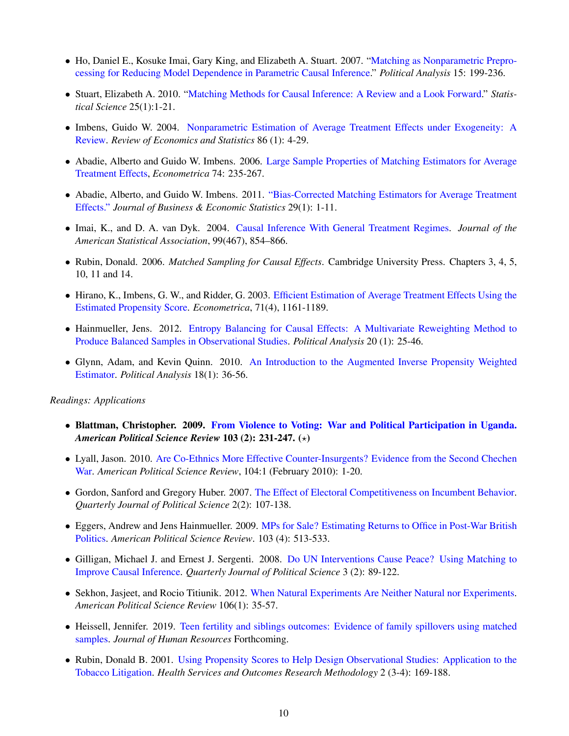- Ho, Daniel E., Kosuke Imai, Gary King, and Elizabeth A. Stuart. 2007. "Matching as Nonparametric Preprocessing for Reducing Model Dependence in Parametric Causal Inference." *Political Analysis* 15: 199-236.
- *•* Stuart, Elizabeth A. 2010. "Matching Methods for Causal [Inference:](http://projecteuclid.org/euclid.ss/1280841730) A Review and a Look Forward." *Statistical Science* 25(1):1-21.
- Imbens, Guido W. 2004. [Nonparametric](http://www.mitpressjournals.org/doi/abs/10.1162/003465304323023651) Estimation of Average Treatment Effects under Exogeneity: A Review. *Review of Economics and Statistics* 86 (1): 4-29.
- Abadie, Alberto and Guido W. Imbens. 2006. Large Sample [Properties](https://www.jstor.org/stable/3598929) of Matching Estimators for Average Treatment Effects, *Econometrica* 74: 235-267.
- Abadie, Alberto, and Guido W. Imbens. 2011. ["Bias-Corrected](https://www-jstor-org.libproxy.mit.edu/stable/25800774) Matching Estimators for Average Treatment Effects." *Journal of Business & Economic Statistics* 29(1): 1-11.
- *•* Imai, K., and D. A. van Dyk. 2004. Causal Inference With General [Treatment](http://amstat.tandfonline.com/doi/abs/10.1198/016214504000001187) Regimes. *Journal of the American Statistical Association*, 99(467), 854–866.
- *•* Rubin, Donald. 2006. *Matched Sampling for Causal Effects*. Cambridge University Press. Chapters 3, 4, 5, 10, 11 and 14.
- Hirano, K., Imbens, G. W., and Ridder, G. 2003. Efficient [Estimation](http://scholar.harvard.edu/imbens/files/efficient_estimation_of_average_treatment_effects_using_the_estimated_propensity_score.pdf) of Average Treatment Effects Using the Estimated Propensity Score. *Econometrica*, 71(4), 1161-1189.
- Hainmueller, Jens. 2012. Entropy Balancing for Causal Effects: A Multivariate [Reweighting](http://pan.oxfordjournals.org/content/20/1/25) Method to Produce Balanced Samples in Observational Studies. *Political Analysis* 20 (1): 25-46.
- Glynn, Adam, and Kevin Quinn. 2010. An [Introduction](http://pan.oxfordjournals.org/content/18/1/36) to the Augmented Inverse Propensity Weighted Estimator. *Political Analysis* 18(1): 36-56.

#### *Readings: Applications*

- *•* Blattman, Christopher. 2009. From Violence to Voting: War and Political [Participation](http://www.journals.cambridge.org/abstract_S0003055409090212) in Uganda. *American Political Science Review* 103 (2): 231-247. ( $\star$ )
- Lyall, Jason. 2010. Are [Co-Ethnics](http://journals.cambridge.org/action/displayFulltext?type=1&pdftype=1&fid=7449380&jid=PSR&volumeId=104&issueId=01&aid=7449372) More Effective Counter-Insurgents? Evidence from the Second Chechen War. *American Political Science Review*, 104:1 (February 2010): 1-20.
- Gordon, Sanford and Gregory Huber. 2007. The Effect of Electoral Competitiveness on [Incumbent](https://www-nowpublishers-com.libproxy.mit.edu/article/Details/QJPS-6035) Behavior. *Quarterly Journal of Political Science* 2(2): 107-138.
- Eggers, Andrew and Jens [Hainmueller.](http://journals.cambridge.org/action/displayAbstract?fromPage=online&aid=6648216&fileId=S0003055409990190) 2009. MPs for Sale? Estimating Returns to Office in Post-War British Politics. *American Political Science Review*. 103 (4): 513-533.
- Gilligan, Michael J. and Ernest J. Sergenti. 2008. Do UN [Interventions](http://nowpublishers.com/article/Details/QJPS-7051) Cause Peace? Using Matching to Improve Causal Inference. *Quarterly Journal of Political Science* 3 (2): 89-122.
- *•* Sekhon, Jasjeet, and Rocio Titiunik. 2012. When Natural Experiments Are Neither Natural nor [Experiments.](https://www.jstor.org/stable/pdf/23275362.pdf) *American Political Science Review* 106(1): 35-57.
- Heissell, Jennifer. 2019. Teen [fertility](http://jhr.uwpress.org/content/early/2019/04/04/jhr.56.1.0218-9341R2.refs) and siblings outcomes: Evidence of family spillovers using matched samples. *Journal of Human Resources* Forthcoming.
- Rubin, Donald B. 2001. Using Prop[ensity](https://www-proquest-com.libproxy.mit.edu/docview/228863312) Scores to Help Design Observational Studies: Application to the Tobacco Litigation. *Health Services and Outcomes Research Methodology* 2 (3-4): 169-188.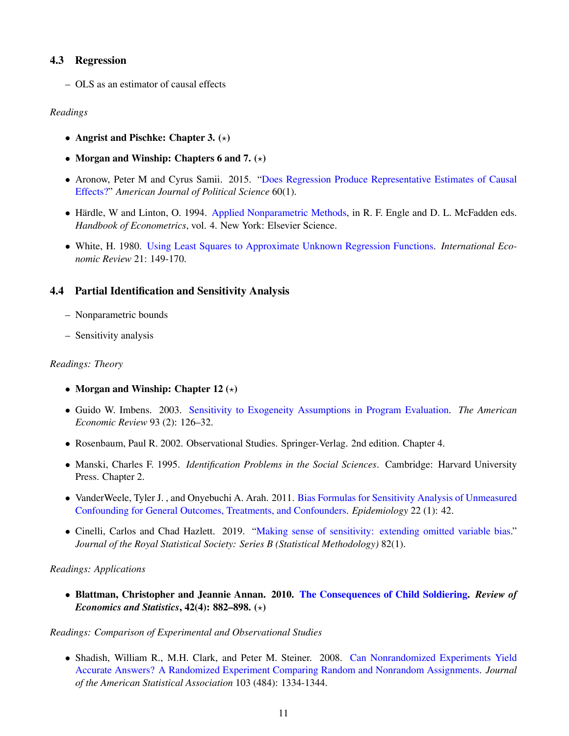### 4.3 Regression

– OLS as an estimator of causal effects

#### *Readings*

- Angrist and Pischke: Chapter 3.  $(\star)$
- Morgan and Winship: Chapters 6 and 7.  $(\star)$
- Aronow, Peter M and Cyrus Samii. 2015. "Does [Regression](https://onlinelibrary.wiley.com/doi/full/10.1111/ajps.12185) Produce Representative Estimates of Causal Effects?" *American Journal of Political Science* 60(1).
- Härdle, W and Linton, O. 1994. Applied Nonparametric Methods, in R. F. Engle and D. L. [McFadden](https://www.sciencedirect.com/science/article/pii/S1573441205800078) eds. *Handbook of Econometrics*, vol. 4. New York: Elsevier Science.
- *•* White, H. 1980. Using Least Squares to Approximate Unknown Regression Functions. *[International](http://www.jstor.org/stable/2526245) Economic Review* 21: 149-170.

### 4.4 Partial Identification and Sensitivity Analysis

- Nonparametric bounds
- Sensitivity analysis

#### *Readings: Theory*

- Morgan and Winship: Chapter  $12 (*)$
- *•* Guido W. Imbens. 2003. Sensitivity to Exogeneity [Assumptions](http://www.jstor.org/stable/3132212) in Program Evaluation. *The American Economic Review* 93 (2): 126–32.
- *•* Rosenbaum, Paul R. 2002. Observational Studies. Springer-Verlag. 2nd edition. Chapter 4.
- *•* Manski, Charles F. 1995. *Identification Problems in the Social Sciences*. Cambridge: Harvard University Press. Chapter 2.
- VanderWeele, Tyler J., and Onyebuchi A. Arah. 2011. Bias Formulas for Sensitivity Analysis of Unmeas[ured](http://journals.lww.com/epidem/Abstract/2011/01000/Bias_Formulas_for_Sensitivity_Analysis_of.8.aspx) Confounding for General Outcomes, Treatments, and Confounders. *Epidemiology* 22 (1): 42.
- *•* Cinelli, Carlos and Chad Hazlett. 2019. "Making sense of sensitivity: extending omitted [variable](https://rss.onlinelibrary.wiley.com/doi/full/10.1111/rssb.12348) bias." *Journal of the Royal Statistical Society: Series B (Statistical Methodology)* 82(1).

#### *Readings: Applications*

*•* Blattman, Christopher and Jeannie Annan. 2010. The Consequences of Child Soldiering. *Review [of](http://www.chrisblattman.com/documents/research/2010.Consequences.RESTAT.pdf) Economics and Statistics*,  $42(4)$ : 882–898.  $(\star)$ 

#### *Readings: Comparison of Experimental and Observational Studies*

• Shadish, William R., M.H. Clark, and Peter M. Steiner. 2008. Can Nonrandomized Experiments Yield Accurate Answers? A Randomized Experiment Comparing Random and Nonrandom Assignments. *Journal of the American Statistical Association* 103 (484): 1334-1344.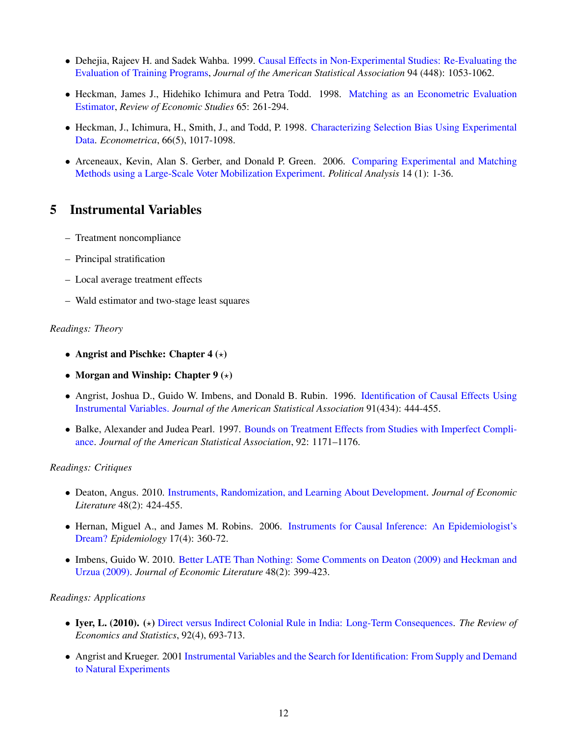- Dehejia, Rajeev H. and Sadek Wahba. 1999. Causal Effects in [Non-Experimental](http://www.jstor.org/stable/2669919) Studies: Re-Evaluating the Evaluation of Training Programs, *Journal of the American Statistical Association* 94 (448): 1053-1062.
- Heckman, James J., Hidehiko Ichimura and Petra Todd. 1998. Matching as an [Econometric](http://www.jstor.org/stable/2566973) Evaluation Estimator, *Review of Economic Studies* 65: 261-294.
- *•* Heckman, J., Ichimura, H., Smith, J., and Todd, P. 1998. [Characterizing](http://jenni.uchicago.edu/papers/Heckman_Ichimura_etal_1998_Econometrica_v66_n5_r.pdf) Selection Bias Using Experimental Data. *Econometrica*, 66(5), 1017-1098.
- Arceneaux, Kevin, Alan S. Gerber, and Donald P. Green. 2006. Comparing Experimental and Matching Methods using a Large-Scale Voter Mobilization Experiment. *Political Analysis* 14 (1): 1-36.

### 5 Instrumental Variables

- Treatment noncompliance
- Principal stratification
- Local average treatment effects
- Wald estimator and two-stage least squares

#### *Readings: Theory*

- Angrist and Pischke: Chapter  $4 (*)$
- Morgan and Winship: Chapter  $9 (*)$
- Angrist, Joshua D., Guido W. Imbens, and Donald B. Rubin. 1996. [Identification](http://www.jstor.org/stable/2291629) of Causal Effects Using Instrumental Variables. *Journal of the American Statistical Association* 91(434): 444-455.
- *•* Balke, Alexander and Judea Pearl. 1997. Bounds on [Treatment](https://escholarship.org/uc/item/3jq067x8.pdf) Effects from Studies with Imperfect Compliance. *Journal of the American Statistical Association*, 92: 1171–1176.

#### *Readings: Critiques*

- *•* Deaton, Angus. 2010. Instruments, Randomization, and Learning About [Development.](http://pubs.aeaweb.org/doi/abs/10.1257/jel.48.2.424) *Journal of Economic Literature* 48(2): 424-455.
- *•* Hernan, Miguel A., and James M. Robins. 2006. [Instruments](http://www.jstor.org.libproxy.mit.edu/stable/20486236) for Causal Inference: An Epidemiologist's Dream? *Epidemiology* 17(4): 360-72.
- Imbens, Guido W. 2010. Better [LATE](http://www.jstor.org/stable/20778730) Than Nothing: Some Comments on Deaton (2009) and Heckman and Urzua (2009). *Journal of Economic Literature* 48(2): 399-423.

#### *Readings: Applications*

- *•* Iyer, L. (2010). (!) Direct versus Indirect Colonial Rule in India: Long-Term [Consequences.](https://www.mitpressjournals.org/doi/pdfplus/10.1162/rest_a_00023) *The Review of Economics and Statistics*, 92(4), 693-713.
- Angrist and Krueger. 2001 Instrumental Varia[bles](http://www.jstor.org/stable/2696517) and the Search for Identification: From Supply and Demand to Natural Experiments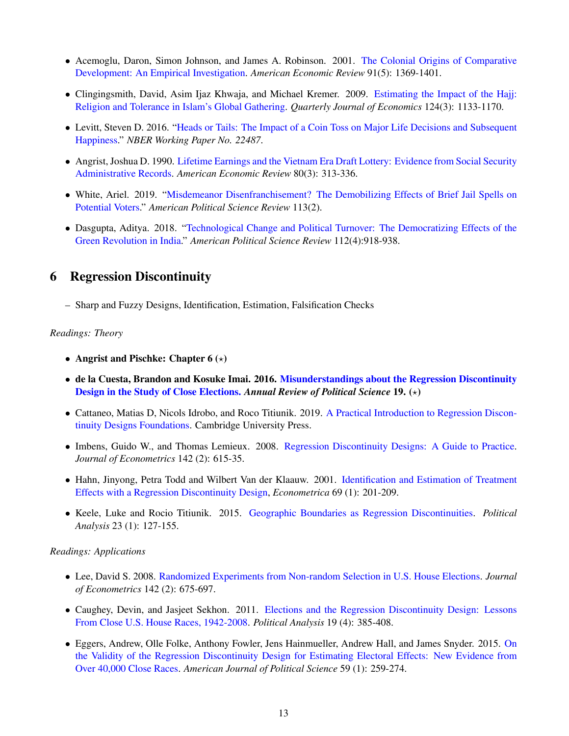- Acemoglu, Daron, Simon Johnson, and James A. Robinson. 2001. The Colonial Origins of [Comparative](http://www.jstor.org/stable/2677930) Development: An Empirical Investigation. *American Economic Review* 91(5): 1369-1401.
- Clingingsmith, David, Asim Ijaz Khwaja, and Michael Kremer. 2009. Estimating the Impact of the [Hajj:](https://www.jstor.org./stable/40506254) Religion and Tolerance in Islam's Global Gathering. *Quarterly Journal of Economics* 124(3): 1133-1170.
- *•* Levitt, Steven D. 2016. ["Heads](https://www.nber.org/papers/w22487) or Tails: The Impact of a Coin Toss on Major Life Decisions and Subsequent Happiness." *NBER Working Paper No. 22487*.
- Angris[t](http://www.jstor.org/stable/2006669), Joshua D. 1990. Lifetime Earnings and the Vietnam Era Draft Lottery: Evidence from Social Security Administrative Records. *American Economic Review* 80(3): 313-336.
- *•* White, Ariel. 2019. "Misdem[eanor](https://www.cambridge.org/core/journals/american-political-science-review/article/misdemeanor-disenfranchisement-the-demobilizing-effects-of-brief-jail-spells-on-potential-voters/2FEDEE197EA55768312586DA2FEFB8F9) Disenfranchisement? The Demobilizing Effects of Brief Jail Spells on Potential Voters." *American Political Science Review* 113(2).
- Dasgupta, Aditya. 2018. "Technological Change and Political Turnover: The Democratizing Effects of the Green Revolution in India." *American Political Science Review* 112(4):918-938.

## 6 Regression Discontinuity

– Sharp and Fuzzy Designs, Identification, Estimation, Falsification Checks

#### *Readings: Theory*

- Angrist and Pischke: Chapter  $6 (*)$
- de la Cuesta, Brandon and Kosuke Imai. 2016. Misunderstandings about the [Regression](http://imai.princeton.edu/research/files/RD.pdf) Discontinuity Design in the Study of Close Elections. *Annual Review of Political Science* 19. (!)
- *•* Cattaneo, Matias D, Nicols Idrobo, and Roco Titiunik. 2019. A Practical [Introduction](https://www.cambridge.org/core/books/practical-introduction-to-regression-discontinuity-designs/F04907129D5C1B823E3DB19C31CAB905) to Regression Discontinuity Designs Foundations. Cambridge University Press.
- Imbens, Guido W., and Thomas Lemieux. 2008. Regression Discontinuity Designs: A Guide to [Practice.](http://linkinghub.elsevier.com/retrieve/pii/S0304407607001091) *Journal of Econometrics* 142 (2): 615-35.
- *•* Hahn, Jinyong, Petra Todd and Wilbert Van der Klaauw. 2001. Identification and Estimation of [Treatment](http://www.jstor.org/stable/2692190) Effects with a Regression Discontinuity Design, *Econometrica* 69 (1): 201-209.
- *•* Keele, Luke and Rocio Titiunik. 2015. Geographic Boundaries as Regression [Discontinuities.](http://pan.oxfordjournals.org/content/23/1/127) *Political Analysis* 23 (1): 127-155.

#### *Readings: Applications*

- *•* Lee, David S. 2008. Randomized Experiments from [Non-random](http://linkinghub.elsevier.com/retrieve/pii/S0304407607001121) Selection in U.S. House Elections. *Journal of Econometrics* 142 (2): 675-697.
- Caughey, Devin, and Jasjeet Sekhon. 2011. Elections and the Regression Dis[continu](http://pan.oxfordjournals.org/content/19/4/385.abstract)ity Design: Lessons From Close U.S. House Races, 1942-2008. *Political Analysis* 19 (4): 385-408.
- *•* Eggers, Andrew, Olle Folke, Anthony Fowler, Jens [Hainmueller,](https://www.jstor.org/stable/24363608) Andrew Hall, and James Snyder. 2015. On the Validity of the Regression Discontinuity Design for Estimating Electoral Effects: New Evidence from Over 40,000 Close Races. *American Journal of Political Science* 59 (1): 259-274.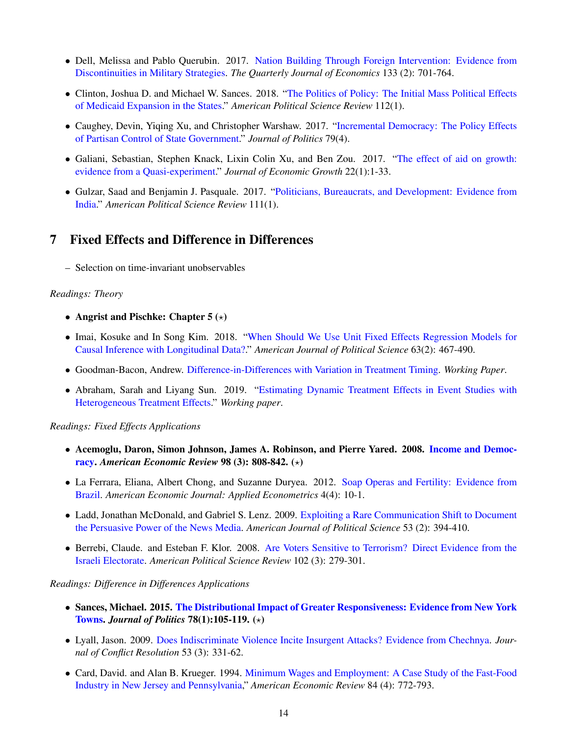- Dell, Melissa and Pablo Querubin. 2017. Nation Building Through [Foreign](https://academic.oup.com/qje/article/133/2/701/4110419) Intervention: Evidence from Discontinuities in Military Strategies. *The Quarterly Journal of Economics* 133 (2): 701-764.
- Clinton, Joshua D. and Michael W. Sances. 2018. "The Politics of Policy: The [Initial](https://www.cambridge.org/core/journals/american-political-science-review/article/politics-of-policy-the-initial-mass-political-effects-of-medicaid-expansion-in-the-states/246AA0F10B44EFD62A7B27C661730823) Mass Political Effects of Medicaid Expansion in the States." *American Political Science Review* 112(1).
- *•* Caughey, Devin, Yiqing Xu, and Christopher Warshaw. 2017. "Incremental [Democracy:](https://www.journals.uchicago.edu/doi/full/10.1086/692669?mobileUi=0&) The Policy Effects of Partisan Control of State Government." *Journal of Politics* 79(4).
- *•* Galiani, Sebastian, Stephen Knack, Lixin Colin Xu, and Ben Zou. 2017. "The effect of aid on [growth:](https://link.springer.com/article/10.1007/s10887-016-9137-4) evidence from a Quasi-experiment." *Journal of Economic Growth* 22(1):1-33.
- Gulzar, Saad and Benjamin J. Pasquale. 2017. "Politicians, Bureaucrats, and [Development](https://www.cambridge.org/core/journals/american-political-science-review/article/politicians-bureaucrats-and-development-evidence-from-india/130F6270702BDE2449BA4902C0FA1804): Evidence from India." *American Political Science Review* 111(1).

### 7 Fixed Effects and Difference in Differences

– Selection on time-invariant unobservables

#### *Readings: Theory*

- Angrist and Pischke: Chapter  $5 (*)$
- *•* Imai, Kosuke and In Song Kim. 2018. "When Should We Use Unit Fixed [Effe](https://onlinelibrary.wiley.com/doi/full/10.1111/ajps.12417)cts Regression Models for Causal Inference with Longitudinal Data?." *American Journal of Political Science* 63(2): 467-490.
- *•* Goodman-Bacon, Andrew. Difference-in-Differences with Variation in [Treatment](https://www.nber.org/system/files/working_papers/w25018/w25018.pdf) Timing. *Working Paper*.
- Abraham, Sarah and Liyang Sun. 2019. "Estimating Dynamic [Treatment](http://economics.mit.edu/files/14964) Effects in Event Studies with Heterogeneous Treatment Effects." *Working paper*.

#### *Readings: Fixed Effects Applications*

- *•* Acemoglu, Daron, Simon Johnson, James A. [Robinson,](https://www.aeaweb.org/articles.php?doi=10.1257/aer.98.3.808) and Pierre Yared. 2008. Income and Democ**racy.** American *Economic Review* 98 (3): 808-842. ( $\star$ )
- La Ferrara, Eliana, Albert Chong, and Suzanne Duryea. 2012. Soap Operas and Fertility: [Evidence](http://www.aeaweb.org/articles.php?doi=10.1257/app.4.4.1) from Brazil. *American Economic Journal: Applied Econometrics* 4(4): 10-1.
- Ladd, Jonathan McDonald, and Gabriel S. Lenz. 2009. Exploiting a Rare Co[mmunication](https://www.jstor.org/stable/25548125) Shift to Document the Persuasive Power of the News Media. *American Journal of Political Science* 53 (2): 394-410.
- *•* Berrebi, Claude. and Esteban F. Klor. 2008. Are Voters Sensitive to [Terrorism?](http://journals.cambridge.org/abstract_S0003055408080246) Direct Evidence from the Israeli Electorate. *American Political Science Review* 102 (3): 279-301.

#### *Readings: Difference in Differences Applications*

- *•* Sances, Michael. 2015. The [Distributional](https://www-journals-uchicago-edu.libproxy.mit.edu/doi/pdf/10.1086/683026) Impact of Greater Responsiveness: Evidence from New York **Towns.** *Journal of Politics* 78(1):105-119. (\*)
- *•* Lyall, Jason. 2009. Does Indiscriminate Violence Incite Insurgent Attacks? Evidence from [Chechnya.](http://www.jstor.org.libproxy.mit.edu/stable/20684590) *Journal of Conflict Resolution* 53 (3): 331-62.
- Card, David. and Alan B. Krueger. 1994. Minimum Wages and Employment: A Case Study of the Fast-Food Industry in New Jersey and Pennsylvania," *American Economic Review* 84 (4): 772-793.